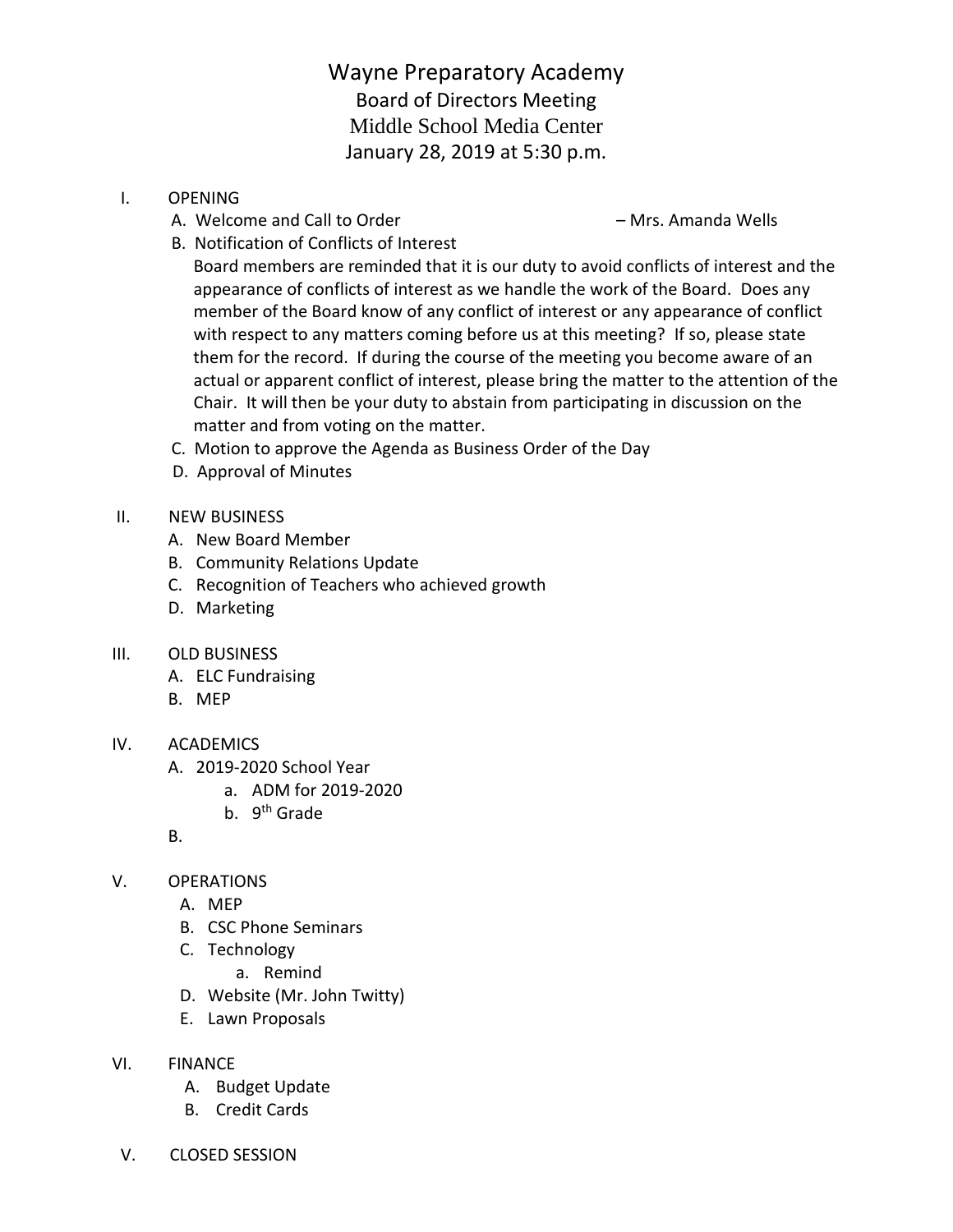Wayne Preparatory Academy Board of Directors Meeting Middle School Media Center January 28, 2019 at 5:30 p.m.

- I. OPENING
	- A. Welcome and Call to Order **East Communist Communist Communist** Mrs. Amanda Wells

B. Notification of Conflicts of Interest

 Board members are reminded that it is our duty to avoid conflicts of interest and the appearance of conflicts of interest as we handle the work of the Board. Does any member of the Board know of any conflict of interest or any appearance of conflict with respect to any matters coming before us at this meeting? If so, please state them for the record. If during the course of the meeting you become aware of an actual or apparent conflict of interest, please bring the matter to the attention of the Chair. It will then be your duty to abstain from participating in discussion on the matter and from voting on the matter.

- C. Motion to approve the Agenda as Business Order of the Day
- D. Approval of Minutes
- II. NEW BUSINESS
	- A. New Board Member
	- B. Community Relations Update
	- C. Recognition of Teachers who achieved growth
	- D. Marketing
- III. OLD BUSINESS
	- A. ELC Fundraising
	- B. MEP

## IV. ACADEMICS

- A. 2019-2020 School Year
	- a. ADM for 2019-2020
	- b. 9<sup>th</sup> Grade
- B.
- V. OPERATIONS
	- A. MEP
	- B. CSC Phone Seminars
	- C. Technology
		- a. Remind
	- D. Website (Mr. John Twitty)
	- E. Lawn Proposals
- VI. FINANCE
	- A. Budget Update
	- B. Credit Cards
- V. CLOSED SESSION